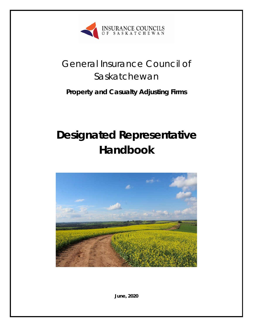

# General Insurance Council of Saskatchewan

## **Property and Casualty Adjusting Firms**

# **Designated Representative Handbook**



**June, 2020**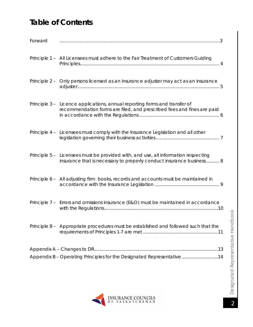## **Table of Contents**

| Forward |                                                                                                                                                            |
|---------|------------------------------------------------------------------------------------------------------------------------------------------------------------|
|         | Principle 1 - All Licensees must adhere to the Fair Treatment of Customers Guiding                                                                         |
|         | Principle 2 - Only persons licensed as an insurance adjuster may act as an insurance                                                                       |
|         | Principle 3 - Licence applications, annual reporting forms and transfer of<br>recommendation forms are filed, and prescribed fees and fines are paid       |
|         | Principle 4 - Licensees must comply with the Insurance Legislation and all other                                                                           |
|         | Principle 5 - Licensees must be provided with, and use, all information respecting<br>insurance that is necessary to properly conduct insurance business 8 |
|         | Principle 6 - All adjusting firm books, records and accounts must be maintained in                                                                         |
|         | Principle 7 - Errors and omissions insurance (E&O) must be maintained in accordance                                                                        |
|         | Principle 8 - Appropriate procedures must be established and followed such that the                                                                        |
|         |                                                                                                                                                            |
|         | Appendix B - Operating Principles for the Designated Representative 14                                                                                     |

<span id="page-1-0"></span>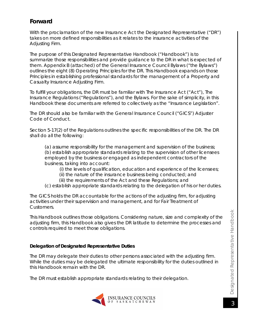## **Forward**

With the proclamation of the new Insurance Act the Designated Representative ("DR") takes on more defined responsibilities as it relates to the insurance activities of the Adjusting Firm.

The purpose of this Designated Representative Handbook ("Handbook") is to summarize those responsibilities and provide guidance to the DR in what is expected of them. Appendix B (attached) of the General Insurance Council Bylaws ("the Bylaws") outlines the eight (8) Operating Principles for the DR. This Handbook expands on those Principles in establishing professional standards for the management of a Property and Casualty Insurance Adjusting Firm.

To fulfill your obligations, the DR must be familiar with *The Insurance Act* ("Act"), *The Insurance Regulations* ("Regulations"), and the Bylaws. For the sake of simplicity, in this Handbook these documents are referred to collectively as the "Insurance Legislation".

The DR should also be familiar with the General Insurance Council ("GICS") Adjuster Code of Conduct.

Section 5-17(2) of the Regulations outlines the specific responsibilities of the DR. The DR shall do all the following:

(a) assume responsibility for the management and supervision of the business; (b) establish appropriate standards relating to the supervision of other licensees employed by the business or engaged as independent contractors of the business, taking into account:

- (i) the levels of qualification, education and experience of the licensees;
- (ii) the nature of the insurance business being conducted; and
- (iii) the requirements of the Act and these Regulations; and
- (c) establish appropriate standards relating to the delegation of his or her duties.

The GICS holds the DR accountable for the actions of the adjusting firm, for adjusting activities under their supervision and management, and for Fair Treatment of Customers.

This Handbook outlines those obligations. Considering nature, size and complexity of the adjusting firm, this Handbook also gives the DR latitude to determine the processes and controls required to meet those obligations.

#### **Delegation of Designated Representative Duties**

The DR may delegate their duties to other persons associated with the adjusting firm. While the duties may be delegated the ultimate responsibility for the duties outlined in this Handbook remain with the DR.

The DR must establish appropriate standards relating to their delegation.

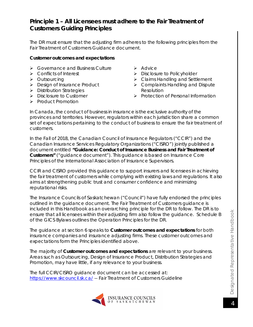## <span id="page-3-0"></span>**Principle 1 – All Licensees must adhere to the Fair Treatment of Customers Guiding Principles**

The DR must ensure that the adjusting firm adheres to the following principles from the Fair Treatment of Customers Guidance document.

#### **Customer outcomes and expectations**

- **▶ Governance and Business Culture**
- $\triangleright$  Conflicts of Interest
- > Outsourcing
- **Design of Insurance Product**
- > Distribution Strategies
- $\triangleright$  Disclosure to Customer
- $\triangleright$  Product Promotion
- $\triangleright$  Advice
- > Disclosure to Policyholder
- ▶ Claims Handling and Settlement
- ▶ Complaints Handling and Dispute Resolution
- $\triangleright$  Protection of Personal Information

In Canada, the conduct of business in insurance is the exclusive authority of the provinces and territories. However, regulators within each jurisdiction share a common set of expectations pertaining to the conduct of business to ensure the fair treatment of customers.

In the Fall of 2018, the Canadian Council of Insurance Regulators ("CCIR") and the Canadian Insurance Services Regulatory Organizations ("CISRO") jointly published a document entitled *"Guidance: Conduct of Insurance Business and Fair Treatment of Customers"* ("guidance document"). This guidance is based on Insurance Core Principles of the International Association of Insurance Supervisors.

CCIR and CISRO provided this guidance to support insurers and licensees in achieving the fair treatment of customers while complying with existing laws and regulations. It also aims at strengthening public trust and consumer confidence and minimizing reputational risks.

The Insurance Councils of Saskatchewan ("Council") have fully endorsed the principles outlined in the guidance document. The Fair Treatment of Customers guidance is included in this Handbook as an overarching principle for the DR to follow. The DR is to ensure that all licensees within their adjusting firm also follow the guidance. Schedule B of the GICS Bylaws outlines the Operation Principles for the DR.

The guidance at section 6 speaks to **Customer outcomes and expectations** for both insurance companies and insurance adjusting firms. These customer outcomes and expectations form the Principles identified above.

The majority of **Customer outcomes and expectations** are relevant to your business. Areas such as Outsourcing, Design of Insurance Product, Distribution Strategies and Promotion, may have little, if any relevance to your business.

The full CCIR/CISRO guidance document can be accessed at: <https://www.skcouncil.sk.ca/> -- Fair Treatment of Customers Guideline

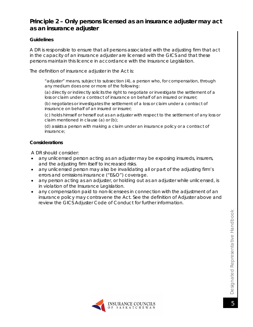## <span id="page-4-0"></span>**Principle 2 – Only persons licensed as an insurance adjuster may act as an insurance adjuster**

#### **Guidelines**

A DR is responsible to ensure that all persons associated with the adjusting firm that act in the capacity of an insurance adjuster are licensed with the GICS and that these persons maintain this licence in accordance with the Insurance Legislation.

The definition of insurance adjuster in the Act is:

*"adjuster" means, subject to subsection (4), a person who, for compensation, through any medium does one or more of the following:* 

*(a) directly or indirectly solicits the right to negotiate or investigate the settlement of a*  loss or claim under a contract of insurance on behalf of an insured or insurer;

*(b) negotiates or investigates the settlement of a loss or claim under a contract of insurance on behalf of an insured or insurer;* 

*(c) holds himself or herself out as an adjuster with respect to the settlement of any loss or claim mentioned in clause (a) or (b);* 

*(d) assists a person with making a claim under an insurance policy or a contract of insurance;*

#### **Considerations**

- any unlicensed person acting as an adjuster may be exposing insureds, insurers, and the adjusting firm itself to increased risks.
- any unlicensed person may also be invalidating all or part of the adjusting firm's errors and omissions insurance ("E&O") coverage.
- any person acting as an adjuster, or holding out as an adjuster while unlicensed, is in violation of the Insurance Legislation.
- any compensation paid to non-licensees in connection with the adjustment of an insurance policy may contravene the Act. See the definition of Adjuster above and review the GICS Adjuster Code of Conduct for further information.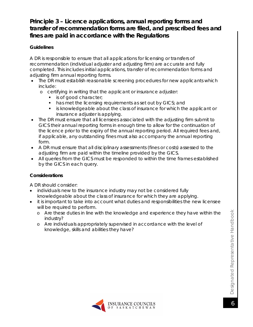## <span id="page-5-0"></span>**Principle 3 – Licence applications, annual reporting forms and transfer of recommendation forms are filed, and prescribed fees and fines are paid in accordance with the Regulations**

#### **Guidelines**

A DR is responsible to ensure that all applications for licensing or transfers of recommendation (individual adjuster and adjusting firm) are accurate and fully completed. This includes initial applications, transfer of recommendation forms and adjusting firm annual reporting forms.

- The DR must establish reasonable screening procedures for new applicants which include:
	- o certifying in writing that the applicant or insurance adjuster:
		- **is of good character;**
		- has met the licensing requirements as set out by GICS; and
		- is knowledgeable about the class of insurance for which the applicant or insurance adjuster is applying.
- The DR must ensure that all licensees associated with the adjusting firm submit to GICS their annual reporting forms in enough time to allow for the continuation of the licence prior to the expiry of the annual reporting period. All required fees and, if applicable, any outstanding fines must also accompany the annual reporting form.
- A DR must ensure that all disciplinary assessments (fines or costs) assessed to the adjusting firm are paid within the timeline provided by the GICS.
- All queries from the GICS must be responded to within the time frames established by the GICS in each query.

#### **Considerations**

- individuals new to the insurance industry may not be considered fully knowledgeable about the class of insurance for which they are applying.
- it is important to take into account what duties and responsibilities the new licensee will be required to perform.
	- o Are these duties in line with the knowledge and experience they have within the industry?
	- o Are individuals appropriately supervised in accordance with the level of knowledge, skills and abilities they have?

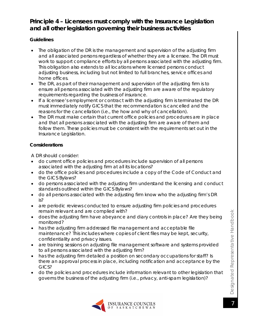## <span id="page-6-0"></span>**Principle 4 – Licensees must comply with the Insurance Legislation and all other legislation governing their business activities**

#### **Guidelines**

- The obligation of the DR is the management and supervision of the adjusting firm and all associated persons regardless of whether they are a licensee. The DR must work to support compliance efforts by all persons associated with the adjusting firm. This obligation also extends to all locations where licensed persons conduct adjusting business, including but not limited to full branches, service offices and home offices.
- The DR, as part of their management and supervision of the adjusting firm is to ensure all persons associated with the adjusting firm are aware of the regulatory requirements regarding the business of insurance.
- If a licensee's employment or contract with the adjusting firm is terminated the DR must immediately notify GICS that the recommendation is cancelled and the reasons for the cancellation (i.e., the how and why of cancellation).
- The DR must make certain that current office policies and procedures are in place and that all persons associated with the adjusting firm are aware of them and follow them. These policies must be consistent with the requirements set out in the Insurance Legislation.

#### **Considerations**

- do current office policies and procedures include supervision of all persons associated with the adjusting firm at all its locations?
- do the office policies and procedures include a copy of the Code of Conduct and the GICS Bylaws?
- do persons associated with the adjusting firm understand the licensing and conduct standards outlined within the GICS Bylaws?
- do all persons associated with the adjusting firm know who the adjusting firm's DR is?
- are periodic reviews conducted to ensure adjusting firm policies and procedures remain relevant and are complied with?
- does the adjusting firm have abeyance and diary controls in place? Are they being monitored?
- has the adjusting firm addressed file management and acceptable file maintenance? This includes where copies of client files may be kept, security, confidentiality and privacy issues.
- are training sessions on adjusting file management software and systems provided to all persons associated with the adjusting firm?
- has the adjusting firm detailed a position on secondary occupations for staff? Is there an approval process in place, including notification and acceptance by the GICS?
- do the policies and procedures include information relevant to other legislation that governs the business of the adjusting firm (i.e., privacy, anti-spam legislation)?

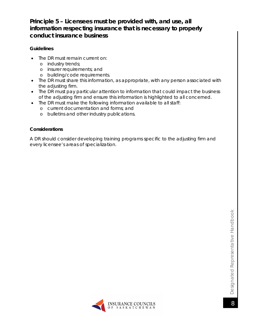## <span id="page-7-0"></span>**Principle 5 – Licensees must be provided with, and use, all information respecting insurance that is necessary to properly conduct insurance business**

#### **Guidelines**

- The DR must remain current on:
	- o industry trends;
	- o insurer requirements; and
	- o building/code requirements.
- The DR must share this information, as appropriate, with any person associated with the adjusting firm.
- The DR must pay particular attention to information that could impact the business of the adjusting firm and ensure this information is highlighted to all concerned.
- The DR must make the following information available to all staff:
	- o current documentation and forms; and
	- o bulletins and other industry publications.

#### **Considerations**

A DR should consider developing training programs specific to the adjusting firm and every licensee's areas of specialization.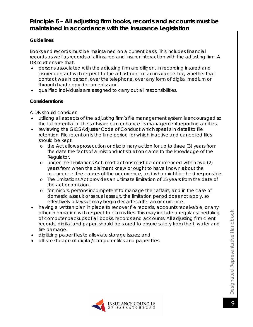## <span id="page-8-0"></span>**Principle 6 – All adjusting firm books, records and accounts must be maintained in accordance with the Insurance Legislation**

#### **Guidelines**

Books and records must be maintained on a current basis. This includes financial records as well as records of all insured and insurer interaction with the adjusting firm. A DR must ensure that:<br>• persons associate

- persons associated with the adjusting firm are diligent in recording insured and insurer contact with respect to the adjustment of an insurance loss, whether that contact was in person, over the telephone, over any form of digital medium or through hard copy documents; and
- qualified individuals are assigned to carry out all responsibilities.

#### **Considerations**

- utilizing all aspects of the adjusting firm's file management system is encouraged so the full potential of the software can enhance its management reporting abilities.
- reviewing the GICS Adjuster Code of Conduct which speaks in detail to file retention. File retention is the time period for which inactive and cancelled files should be kept.
	- o the Act allows prosecution or disciplinary action for up to three (3) years from the date the facts of a misconduct situation came to the knowledge of the Regulator.
	- o under *The Limitations Act*, most actions must be commenced within two (2) years from when the claimant knew or ought to have known about the occurrence, the causes of the occurrence, and who might be held responsible.
	- o *The Limitations Act* provides an ultimate limitation of 15 years from the date of the act or omission.
	- o for minors, persons incompetent to manage their affairs, and in the case of domestic assault or sexual assault, the limitation period does not apply, so effectively a lawsuit may begin decades after an occurrence.
- having a written plan in place to recover file records, accounts receivable, or any other information with respect to claims files. This may include a regular scheduling of computer backups of all books, records and accounts. All adjusting firm client records, digital and paper, should be stored to ensure safety from theft, water and fire damage.
- digitizing paper files to alleviate storage issues; and
- off site storage of digital/computer files and paper files.

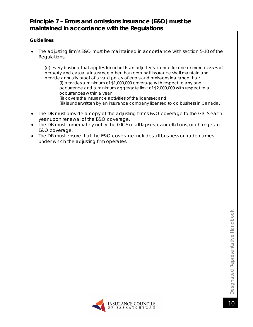## <span id="page-9-0"></span>**Principle 7 – Errors and omissions insurance (E&O) must be maintained in accordance with the Regulations**

#### **Guidelines**

• The adjusting firm's E&O must be maintained in accordance with section 5-10 of the Regulations*.*

*(e) every business that applies for or holds an adjuster's licence for one or more classes of property and casualty insurance other than crop hail insurance shall maintain and provide annually proof of a valid policy of errors and omissions insurance that: (i) provides a minimum of \$1,000,000 coverage with respect to any one occurrence and a minimum aggregate limit of \$2,000,000 with respect to all occurrences within a year; (ii) covers the insurance activities of the licensee; and (iii) is underwritten by an insurance company licensed to do business in Canada.*

- The DR must provide a copy of the adjusting firm's E&O coverage to the GICS each year upon renewal of the E&O coverage.
- The DR must immediately notify the GICS of all lapses, cancellations, or changes to E&O coverage.
- The DR must ensure that the E&O coverage includes all business or trade names under which the adjusting firm operates.

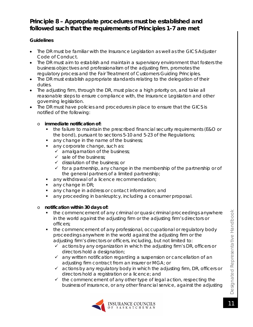## <span id="page-10-0"></span>**Principle 8 – Appropriate procedures must be established and followed such that the requirements of Principles 1-7 are met**

#### **Guidelines**

- The DR must be familiar with the Insurance Legislation as well as the GICS Adjuster Code of Conduct.
- The DR must aim to establish and maintain a supervisory environment that fosters the business objectives and professionalism of the adjusting firm, promotes the regulatory process and the Fair Treatment of Customers Guiding Principles.
- The DR must establish appropriate standards relating to the delegation of their duties.
- The adjusting firm, through the DR, must place a high priority on, and take all reasonable steps to ensure compliance with, the Insurance Legislation and other governing legislation.
- The DR must have policies and procedures in place to ensure that the GICS is notified of the following:

#### o **immediate notification of:**

- the failure to maintain the prescribed financial security requirements (E&O or the bond), pursuant to sections 5-10 and 5-23 of the Regulations;
- any change in the name of the business;
- any corporate change, such as:
	- $\checkmark$  amalgamation of the business;
	- $\checkmark$  sale of the business;
	- $\checkmark$  dissolution of the business; or
	- $\checkmark$  for a partnership, any change in the membership of the partnership or of the general partners of a limited partnership;
- **any withdrawal of a licence recommendation;**
- $\blacksquare$  any change in DR;
- any change in address or contact information; and
- any proceeding in bankruptcy, including a consumer proposal.

#### o **notification within 30 days of:**

- the commencement of any criminal or quasi-criminal proceedings anywhere in the world against the adjusting firm or the adjusting firm's directors or officers;
- the commencement of any professional, occupational or regulatory body proceedings anywhere in the world against the adjusting firm or the adjusting firm's directors or officers, including, but not limited to:
	- $\checkmark$  actions by any organization in which the adjusting firm's DR, officers or directors hold a designation;
	- $\checkmark$  any written notification regarding a suspension or cancellation of an adjusting firm contract from an insurer or MGA; or
	- $\checkmark$  actions by any regulatory body in which the adjusting firm, DR, officers or directors hold a registration or a licence; and
	- $\checkmark$  the commencement of any other type of legal action, respecting the business of insurance, or any other financial service, against the adjusting

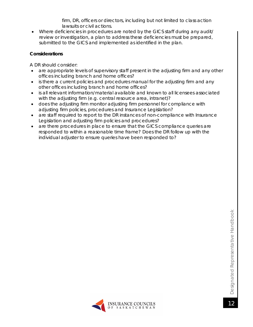firm, DR, officers or directors, including but not limited to class action lawsuits or civil actions.

• Where deficiencies in procedures are noted by the GICS staff during any audit/ review or investigation, a plan to address these deficiencies must be prepared, submitted to the GICS and implemented as identified in the plan.

#### **Considerations**

- are appropriate levels of supervisory staff present in the adjusting firm and any other offices including branch and home offices?
- is there a current policies and procedures manual for the adjusting firm and any other offices including branch and home offices?
- is all relevant information/material available and known to all licensees associated with the adjusting firm (e.g. central resource area, intranet)?
- does the adjusting firm monitor adjusting firm personnel for compliance with adjusting firm policies, procedures and Insurance Legislation?
- are staff required to report to the DR instances of non-compliance with Insurance Legislation and adjusting firm policies and procedures?
- are there procedures in place to ensure that the GICS compliance queries are responded to within a reasonable time frame? Does the DR follow up with the individual adjuster to ensure queries have been responded to?

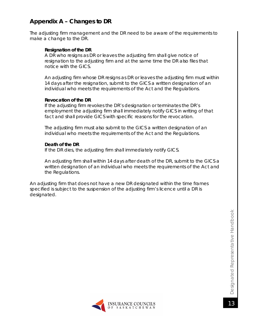## <span id="page-12-0"></span>**Appendix A – Changes to DR**

The adjusting firm management and the DR need to be aware of the requirements to make a change to the DR.

#### **Resignation of the DR**

A DR who resigns as DR or leaves the adjusting firm shall give notice of resignation to the adjusting firm and at the same time the DR also files that notice with the GICS.

An adjusting firm whose DR resigns as DR or leaves the adjusting firm must within 14 days after the resignation, submit to the GICS a written designation of an individual who meets the requirements of the Act and the Regulations.

#### **Revocation of the DR**

If the adjusting firm revokes the DR's designation or terminates the DR's employment the adjusting firm shall immediately notify GICS in writing of that fact and shall provide GICS with specific reasons for the revocation.

The adjusting firm must also submit to the GICS a written designation of an individual who meets the requirements of the Act and the Regulations.

#### **Death of the DR**

If the DR dies, the adjusting firm shall immediately notify GICS.

An adjusting firm shall within 14 days after death of the DR, submit to the GICS a written designation of an individual who meets the requirements of the Act and the Regulations.

An adjusting firm that does not have a new DR designated within the time frames specified is subject to the suspension of the adjusting firm's licence until a DR is designated.